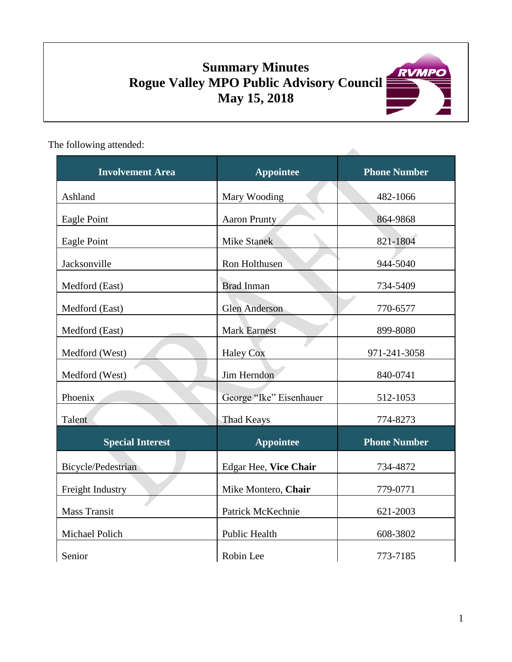# **Summary Minutes Rogue Valley MPO Public Advisory Council May 15, 2018**



The following attended:

| <b>Involvement Area</b> | <b>Appointee</b>        | <b>Phone Number</b> |  |
|-------------------------|-------------------------|---------------------|--|
| Ashland                 | Mary Wooding            | 482-1066            |  |
| Eagle Point             | Aaron Prunty            | 864-9868            |  |
| Eagle Point             | <b>Mike Stanek</b>      | 821-1804            |  |
| Jacksonville            | Ron Holthusen           | 944-5040            |  |
| Medford (East)          | <b>Brad Inman</b>       | 734-5409            |  |
| Medford (East)          | <b>Glen Anderson</b>    | 770-6577            |  |
| Medford (East)          | <b>Mark Earnest</b>     | 899-8080            |  |
| Medford (West)          | <b>Haley Cox</b>        | 971-241-3058        |  |
| Medford (West)          | Jim Herndon             | 840-0741            |  |
| Phoenix                 | George "Ike" Eisenhauer | 512-1053            |  |
| Talent                  | <b>Thad Keays</b>       | 774-8273            |  |
| <b>Special Interest</b> | <b>Appointee</b>        | <b>Phone Number</b> |  |
| Bicycle/Pedestrian      | Edgar Hee, Vice Chair   | 734-4872            |  |
| Freight Industry        | Mike Montero, Chair     | 779-0771            |  |
| <b>Mass Transit</b>     | Patrick McKechnie       | 621-2003            |  |
| Michael Polich          | <b>Public Health</b>    | 608-3802            |  |
| Senior                  | Robin Lee               | 773-7185            |  |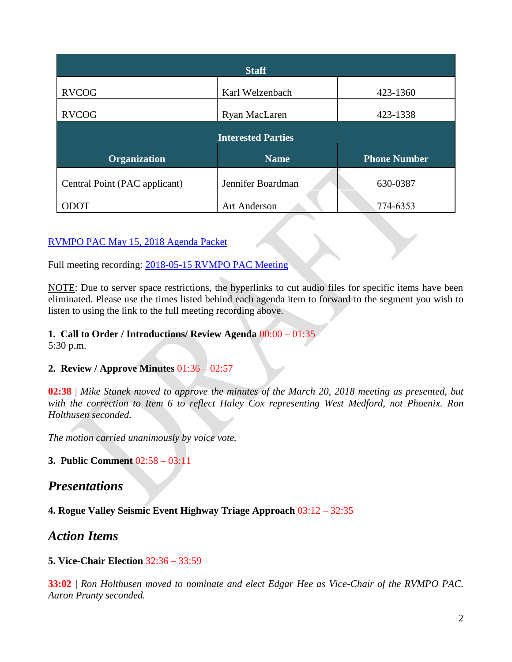| <b>Staff</b>                  |                     |                     |  |
|-------------------------------|---------------------|---------------------|--|
| <b>RVCOG</b>                  | Karl Welzenbach     | 423-1360            |  |
| <b>RVCOG</b>                  | Ryan MacLaren       | 423-1338            |  |
| <b>Interested Parties</b>     |                     |                     |  |
| <b>Organization</b>           | <b>Name</b>         | <b>Phone Number</b> |  |
| Central Point (PAC applicant) | Jennifer Boardman   | 630-0387            |  |
| TOCC                          | <b>Art Anderson</b> | 774-6353            |  |

### [RVMPO PAC May 15, 2018 Agenda Packet](https://www.rvmpo.org/images/committees/public-advisory-council/2018/Agenda_Packets/2018-05-15_RVMPO%20PAC%20Agenda%20Packet_C.pdf)

Full meeting recording: 2018-05-15 [RVMPO PAC Meeting](https://www.rvmpo.org/images/committees/public-advisory-council/2018/Audio_Files/2018-05-15_RVMPO%20PAC_Audio%20File%20(mp3cut.net).MP3)

NOTE: Due to server space restrictions, the hyperlinks to cut audio files for specific items have been eliminated. Please use the times listed behind each agenda item to forward to the segment you wish to listen to using the link to the full meeting recording above.

#### **1. Call to Order / Introductions/ Review Agenda** 00:00 – 01:35

5:30 p.m.

### **2. Review / Approve Minutes** 01:36 – 02:57

**02:38** | *Mike Stanek moved to approve the minutes of the March 20, 2018 meeting as presented, but with the correction to Item 6 to reflect Haley Cox representing West Medford, not Phoenix. Ron Holthusen seconded.*

*The motion carried unanimously by voice vote.*

#### **3. Public Comment** 02:58 – 03:11

## *Presentations*

**4. Rogue Valley Seismic Event Highway Triage Approach** 03:12 – 32:35

# *Action Items*

#### **5. Vice-Chair Election** 32:36 – 33:59

**33:02 |** *Ron Holthusen moved to nominate and elect Edgar Hee as Vice-Chair of the RVMPO PAC. Aaron Prunty seconded.*